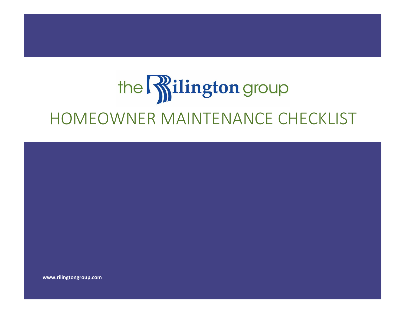# the **Rilington** group HOMEOWNER MAINTENANCE CHECKLIST



**www.rilingtongroup.com**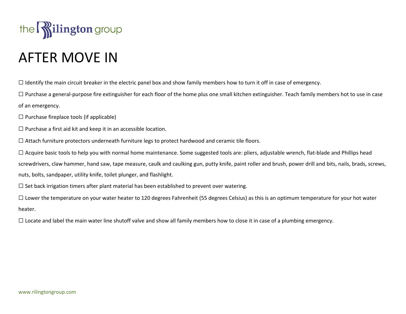

# AFTER MOVE IN

☐ Identify the main circuit breaker in the electric panel box and show family members how to turn it off in case of emergency.

 $\Box$  Purchase a general-purpose fire extinguisher for each floor of the home plus one small kitchen extinguisher. Teach family members hot to use in case of an emergency.

 $\Box$  Purchase fireplace tools (if applicable)

 $\Box$  Purchase a first aid kit and keep it in an accessible location.

☐ Attach furniture protectors underneath furniture legs to protect hardwood and ceramic tile floors.

 $\Box$  Acquire basic tools to help you with normal home maintenance. Some suggested tools are: pliers, adjustable wrench, flat-blade and Phillips head screwdrivers, claw hammer, hand saw, tape measure, caulk and caulking gun, putty knife, paint roller and brush, power drill and bits, nails, brads, screws, nuts, bolts, sandpaper, utility knife, toilet plunger, and flashlight.

 $\Box$  Set back irrigation timers after plant material has been established to prevent over watering.

 $\Box$  Lower the temperature on your water heater to 120 degrees Fahrenheit (55 degrees Celsius) as this is an optimum temperature for your hot water heater.

□ Locate and label the main water line shutoff valve and show all family members how to close it in case of a plumbing emergency.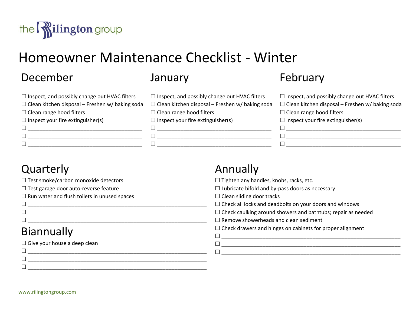

# Homeowner Maintenance Checklist - Winter

# December

| $\Box$ Inspect, and possibly change out HVAC filters   |
|--------------------------------------------------------|
| $\Box$ Clean kitchen disposal – Freshen w/ baking soda |
| $\Box$ Clean range hood filters                        |
| $\Box$ Inspect your fire extinguisher(s)               |
| L                                                      |
| L                                                      |
|                                                        |

### January

| $\Box$ Inspect, and possibly change out HVAC filters   |
|--------------------------------------------------------|
| $\Box$ Clean kitchen disposal – Freshen w/ baking soda |
| $\Box$ Clean range hood filters                        |
| $\Box$ Inspect your fire extinguisher(s)               |
| $\perp$                                                |

 $\Box$ ☐ \_\_\_\_\_\_\_\_\_\_\_\_\_\_\_\_\_\_\_\_\_\_\_\_\_\_\_\_\_\_\_\_\_\_\_\_\_\_\_

Annually

# February

| $\Box$ Inspect, and possibly change out HVAC filters   |
|--------------------------------------------------------|
| $\Box$ Clean kitchen disposal – Freshen w/ baking soda |
| $\Box$ Clean range hood filters                        |
| $\Box$ Inspect your fire extinguisher(s)               |
|                                                        |
|                                                        |
|                                                        |
|                                                        |

# **Quarterly**

| $\Box$ Test smoke/carbon monoxide detectors         | $\Box$ Tighten any handles, knobs, racks, etc.                      |
|-----------------------------------------------------|---------------------------------------------------------------------|
| $\Box$ Test garage door auto-reverse feature        | $\Box$ Lubricate bifold and by-pass doors as necessary              |
| $\Box$ Run water and flush toilets in unused spaces | $\Box$ Clean sliding door tracks                                    |
| $\Box$                                              | $\Box$ Check all locks and deadbolts on your doors and windows      |
| $\Box$                                              | $\Box$ Check caulking around showers and bathtubs; repair as needed |
| $\Box$                                              | $\Box$ Remove showerheads and clean sediment                        |
| Biannually                                          | $\Box$ Check drawers and hinges on cabinets for proper alignment    |
|                                                     |                                                                     |
| $\Box$ Give your house a deep clean                 |                                                                     |
| $\Box$                                              |                                                                     |
| $\Box$                                              |                                                                     |
| $\Box$                                              |                                                                     |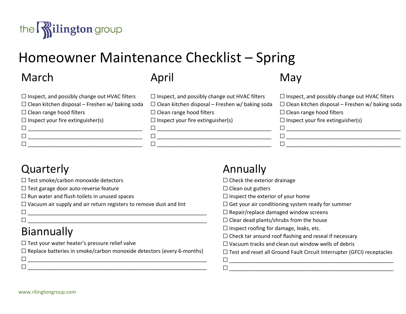

# Homeowner Maintenance Checklist – Spring

# March

| $\Box$ Inspect, and possibly change out HVAC filters   |
|--------------------------------------------------------|
| $\Box$ Clean kitchen disposal – Freshen w/ baking soda |
| $\Box$ Clean range hood filters                        |
| $\Box$ Inspect your fire extinguisher(s)               |
|                                                        |
|                                                        |
|                                                        |

# April

| $\Box$ Inspect, and possibly change out HVAC filters   |
|--------------------------------------------------------|
| $\Box$ Clean kitchen disposal – Freshen w/ baking soda |
| $\Box$ Clean range hood filters                        |
| $\Box$ Inspect your fire extinguisher(s)               |

# May

| $\Box$ Inspect, and possibly change out HVAC filters   | $\Box$ Inspect, and possibly change out HVAC filters   |
|--------------------------------------------------------|--------------------------------------------------------|
| $\Box$ Clean kitchen disposal – Freshen w/ baking soda | $\Box$ Clean kitchen disposal – Freshen w/ baking soda |
| $\Box$ Clean range hood filters                        | $\Box$ Clean range hood filters                        |
| $\Box$ Inspect your fire extinguisher(s)               | $\Box$ Inspect your fire extinguisher(s)               |
|                                                        |                                                        |
|                                                        |                                                        |
|                                                        |                                                        |

# **Quarterly**

|  |  | $\Box$ Test smoke/carbon monoxide detectors |  |
|--|--|---------------------------------------------|--|
|  |  |                                             |  |

☐ Test garage door auto-reverse feature

 $\Box$  Run water and flush toilets in unused spaces

☐ Vacuum air supply and air return registers to remove dust and lint

#### ☐ \_\_\_\_\_\_\_\_\_\_\_\_\_\_\_\_\_\_\_\_\_\_\_\_\_\_\_\_\_\_\_\_\_\_\_\_\_\_\_\_\_\_\_\_\_\_\_\_\_\_\_\_\_\_\_\_\_\_\_\_\_ Biannually

 $\Box$  Test your water heater's pressure relief valve

 $\Box$  Replace batteries in smoke/carbon monoxide detectors (every 6-months) ☐ \_\_\_\_\_\_\_\_\_\_\_\_\_\_\_\_\_\_\_\_\_\_\_\_\_\_\_\_\_\_\_\_\_\_\_\_\_\_\_\_\_\_\_\_\_\_\_\_\_\_\_\_\_\_\_\_\_\_\_\_\_

☐ \_\_\_\_\_\_\_\_\_\_\_\_\_\_\_\_\_\_\_\_\_\_\_\_\_\_\_\_\_\_\_\_\_\_\_\_\_\_\_\_\_\_\_\_\_\_\_\_\_\_\_\_\_\_\_\_\_\_\_\_\_

☐ \_\_\_\_\_\_\_\_\_\_\_\_\_\_\_\_\_\_\_\_\_\_\_\_\_\_\_\_\_\_\_\_\_\_\_\_\_\_\_\_\_\_\_\_\_\_\_\_\_\_\_\_\_\_\_\_\_\_\_\_\_

### Annually

 $\Box$  Check the exterior drainage

 $\Box$  Clean out gutters

 $\Box$  Inspect the exterior of your home

 $\Box$  Get your air conditioning system ready for summer

 $\Box$  Repair/replace damaged window screens

 $\Box$  Clear dead plants/shrubs from the house

 $\Box$  Inspect roofing for damage, leaks, etc.

 $\Box$  Check tar around roof flashing and reseal if necessary

 $\Box$  Vacuum tracks and clean out window wells of debris

☐ Test and reset all Ground Fault Circuit Interrupter (GFCI) receptacles

☐ \_\_\_\_\_\_\_\_\_\_\_\_\_\_\_\_\_\_\_\_\_\_\_\_\_\_\_\_\_\_\_\_\_\_\_\_\_\_\_\_\_\_\_\_\_\_\_\_\_\_\_\_\_\_\_\_ ☐ \_\_\_\_\_\_\_\_\_\_\_\_\_\_\_\_\_\_\_\_\_\_\_\_\_\_\_\_\_\_\_\_\_\_\_\_\_\_\_\_\_\_\_\_\_\_\_\_\_\_\_\_\_\_\_\_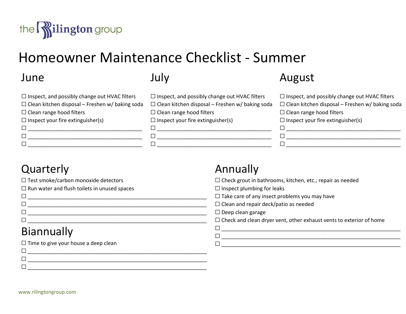

# Homeowner Maintenance Checklist - Summer

#### June

| $\Box$ Inspect, and possibly change out HVAC filters   |
|--------------------------------------------------------|
| $\Box$ Clean kitchen disposal – Freshen w/ baking soda |
| $\Box$ Clean range hood filters                        |
| $\Box$ Inspect your fire extinguisher(s)               |
|                                                        |
|                                                        |
|                                                        |

### July

| $\Box$ Inspect, and possibly change out HVAC filters   |
|--------------------------------------------------------|
| $\Box$ Clean kitchen disposal – Freshen w/ baking soda |
| $\Box$ Clean range hood filters                        |
| $\Box$ Inspect your fire extinguisher(s)               |
|                                                        |

 $\Box$ ☐ \_\_\_\_\_\_\_\_\_\_\_\_\_\_\_\_\_\_\_\_\_\_\_\_\_\_\_\_\_\_\_\_\_\_\_\_\_\_\_

#### August

| $\Box$ Inspect, and possibly change out HVAC filters   |
|--------------------------------------------------------|
| $\Box$ Clean kitchen disposal – Freshen w/ baking soda |
| $\Box$ Clean range hood filters                        |
| $\Box$ Inspect your fire extinguisher(s)               |
|                                                        |
|                                                        |
|                                                        |
|                                                        |

# **Quarterly**

| $\Box$ Test smoke/carbon monoxide detectors         |
|-----------------------------------------------------|
| $\Box$ Run water and flush toilets in unused spaces |
|                                                     |

☐ \_\_\_\_\_\_\_\_\_\_\_\_\_\_\_\_\_\_\_\_\_\_\_\_\_\_\_\_\_\_\_\_\_\_\_\_\_\_\_\_\_\_\_\_\_\_\_\_\_\_\_\_\_\_\_\_\_\_\_\_\_

# Annually

☐ Check grout in bathrooms, kitchen, etc.; repair as needed

 $\Box$  Inspect plumbing for leaks

□ Take care of any insect problems you may have

# Biannually

| Г                                           | $\Box$ Clean and repair deck/patio as needed                               |
|---------------------------------------------|----------------------------------------------------------------------------|
|                                             | $\Box$ Deep clean garage                                                   |
| ⊏                                           | $\Box$ Check and clean dryer vent, other exhaust vents to exterior of home |
| <b>Biannually</b>                           |                                                                            |
| $\Box$ Time to give your house a deep clean |                                                                            |
| ┍                                           |                                                                            |
| ┍                                           |                                                                            |

www.rilingtongroup.com